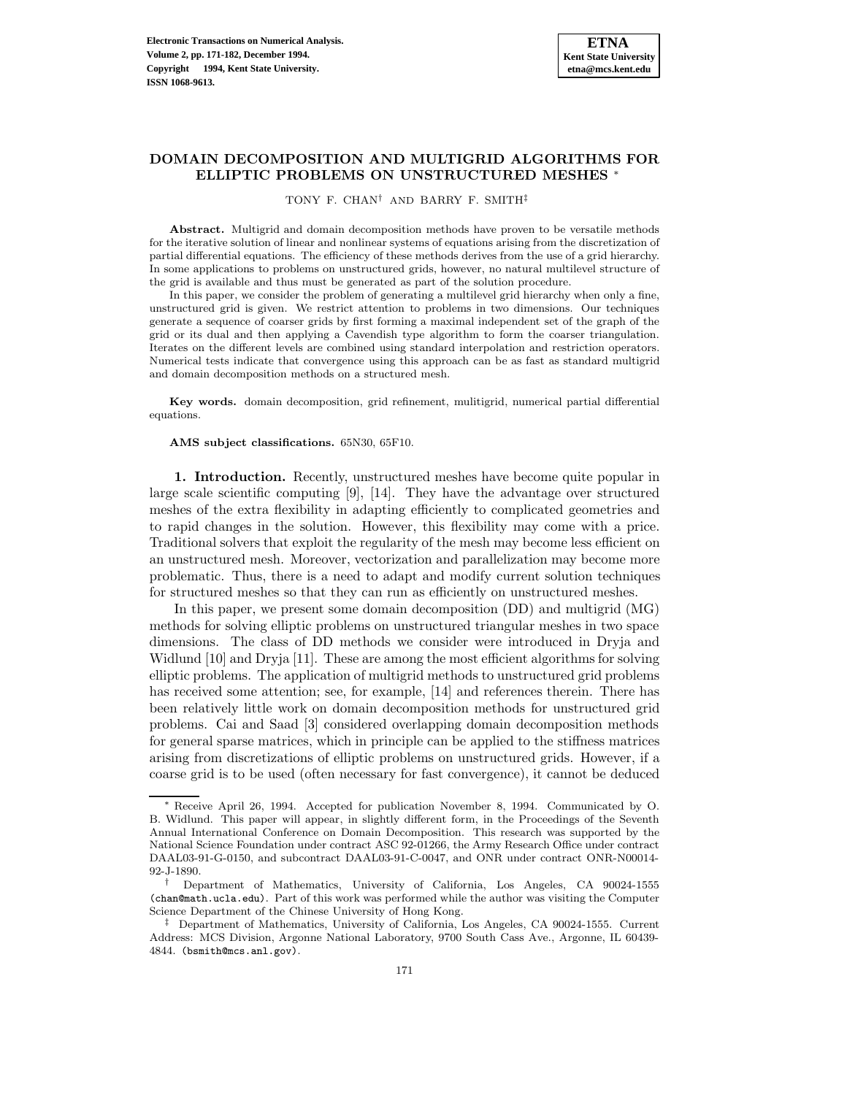## **DOMAIN DECOMPOSITION AND MULTIGRID ALGORITHMS FOR ELLIPTIC PROBLEMS ON UNSTRUCTURED MESHES** <sup>∗</sup>

TONY F. CHAN† AND BARRY F. SMITH‡

**Abstract.** Multigrid and domain decomposition methods have proven to be versatile methods for the iterative solution of linear and nonlinear systems of equations arising from the discretization of partial differential equations. The efficiency of these methods derives from the use of a grid hierarchy. In some applications to problems on unstructured grids, however, no natural multilevel structure of the grid is available and thus must be generated as part of the solution procedure.

In this paper, we consider the problem of generating a multilevel grid hierarchy when only a fine, unstructured grid is given. We restrict attention to problems in two dimensions. Our techniques generate a sequence of coarser grids by first forming a maximal independent set of the graph of the grid or its dual and then applying a Cavendish type algorithm to form the coarser triangulation. Iterates on the different levels are combined using standard interpolation and restriction operators. Numerical tests indicate that convergence using this approach can be as fast as standard multigrid and domain decomposition methods on a structured mesh.

**Key words.** domain decomposition, grid refinement, mulitigrid, numerical partial differential equations.

**AMS subject classifications.** 65N30, 65F10.

**1. Introduction.** Recently, unstructured meshes have become quite popular in large scale scientific computing [9], [14]. They have the advantage over structured meshes of the extra flexibility in adapting efficiently to complicated geometries and to rapid changes in the solution. However, this flexibility may come with a price. Traditional solvers that exploit the regularity of the mesh may become less efficient on an unstructured mesh. Moreover, vectorization and parallelization may become more problematic. Thus, there is a need to adapt and modify current solution techniques for structured meshes so that they can run as efficiently on unstructured meshes.

In this paper, we present some domain decomposition (DD) and multigrid (MG) methods for solving elliptic problems on unstructured triangular meshes in two space dimensions. The class of DD methods we consider were introduced in Dryja and Widlund [10] and Dryja [11]. These are among the most efficient algorithms for solving elliptic problems. The application of multigrid methods to unstructured grid problems has received some attention; see, for example, [14] and references therein. There has been relatively little work on domain decomposition methods for unstructured grid problems. Cai and Saad [3] considered overlapping domain decomposition methods for general sparse matrices, which in principle can be applied to the stiffness matrices arising from discretizations of elliptic problems on unstructured grids. However, if a coarse grid is to be used (often necessary for fast convergence), it cannot be deduced

<sup>∗</sup> Receive April 26, 1994. Accepted for publication November 8, 1994. Communicated by O. B. Widlund. This paper will appear, in slightly different form, in the Proceedings of the Seventh Annual International Conference on Domain Decomposition. This research was supported by the National Science Foundation under contract ASC 92-01266, the Army Research Office under contract DAAL03-91-G-0150, and subcontract DAAL03-91-C-0047, and ONR under contract ONR-N00014- 92-J-1890.

<sup>†</sup> Department of Mathematics, University of California, Los Angeles, CA 90024-1555 (chan@math.ucla.edu). Part of this work was performed while the author was visiting the Computer Science Department of the Chinese University of Hong Kong.

<sup>‡</sup> Department of Mathematics, University of California, Los Angeles, CA 90024-1555. Current Address: MCS Division, Argonne National Laboratory, 9700 South Cass Ave., Argonne, IL 60439- 4844. (bsmith@mcs.anl.gov).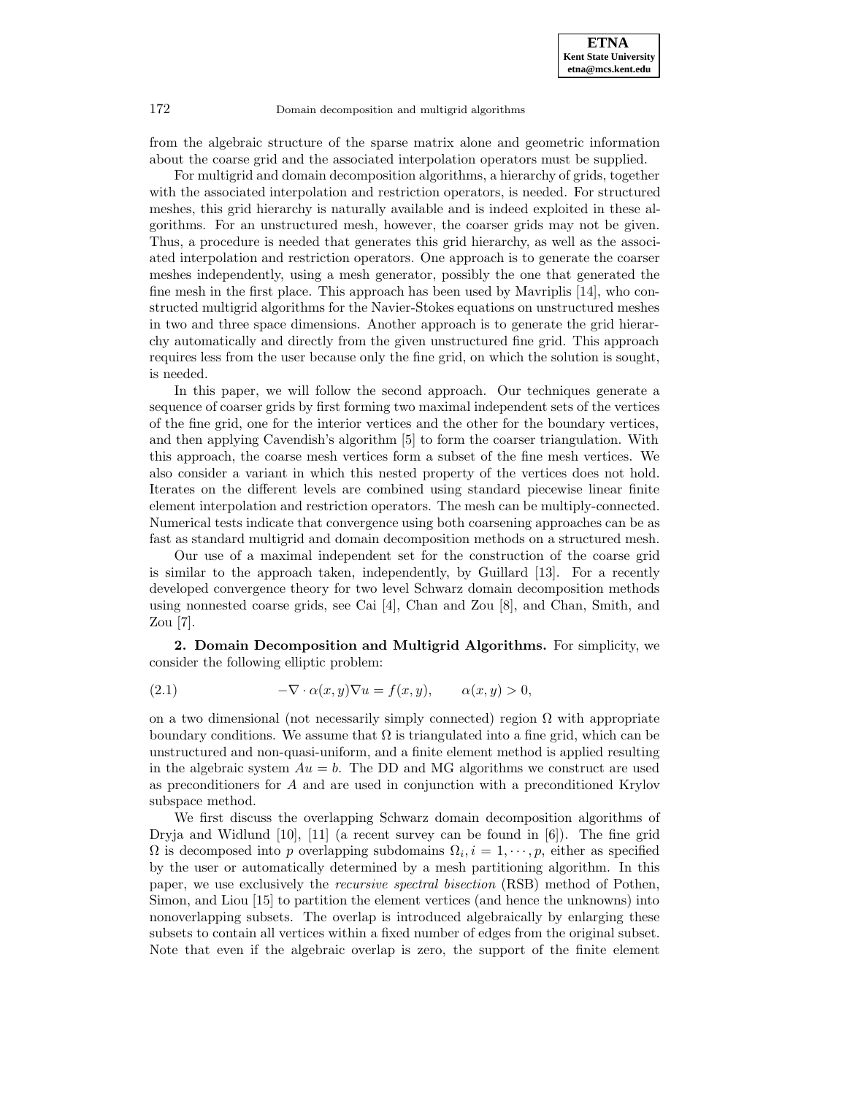from the algebraic structure of the sparse matrix alone and geometric information about the coarse grid and the associated interpolation operators must be supplied.

For multigrid and domain decomposition algorithms, a hierarchy of grids, together with the associated interpolation and restriction operators, is needed. For structured meshes, this grid hierarchy is naturally available and is indeed exploited in these algorithms. For an unstructured mesh, however, the coarser grids may not be given. Thus, a procedure is needed that generates this grid hierarchy, as well as the associated interpolation and restriction operators. One approach is to generate the coarser meshes independently, using a mesh generator, possibly the one that generated the fine mesh in the first place. This approach has been used by Mavriplis [14], who constructed multigrid algorithms for the Navier-Stokes equations on unstructured meshes in two and three space dimensions. Another approach is to generate the grid hierarchy automatically and directly from the given unstructured fine grid. This approach requires less from the user because only the fine grid, on which the solution is sought, is needed.

In this paper, we will follow the second approach. Our techniques generate a sequence of coarser grids by first forming two maximal independent sets of the vertices of the fine grid, one for the interior vertices and the other for the boundary vertices, and then applying Cavendish's algorithm [5] to form the coarser triangulation. With this approach, the coarse mesh vertices form a subset of the fine mesh vertices. We also consider a variant in which this nested property of the vertices does not hold. Iterates on the different levels are combined using standard piecewise linear finite element interpolation and restriction operators. The mesh can be multiply-connected. Numerical tests indicate that convergence using both coarsening approaches can be as fast as standard multigrid and domain decomposition methods on a structured mesh.

Our use of a maximal independent set for the construction of the coarse grid is similar to the approach taken, independently, by Guillard [13]. For a recently developed convergence theory for two level Schwarz domain decomposition methods using nonnested coarse grids, see Cai [4], Chan and Zou [8], and Chan, Smith, and Zou [7].

**2. Domain Decomposition and Multigrid Algorithms.** For simplicity, we consider the following elliptic problem:

(2.1) 
$$
-\nabla \cdot \alpha(x, y) \nabla u = f(x, y), \qquad \alpha(x, y) > 0,
$$

on a two dimensional (not necessarily simply connected) region  $\Omega$  with appropriate boundary conditions. We assume that  $\Omega$  is triangulated into a fine grid, which can be unstructured and non-quasi-uniform, and a finite element method is applied resulting in the algebraic system  $Au = b$ . The DD and MG algorithms we construct are used as preconditioners for A and are used in conjunction with a preconditioned Krylov subspace method.

We first discuss the overlapping Schwarz domain decomposition algorithms of Dryja and Widlund  $[10]$ ,  $[11]$  (a recent survey can be found in  $[6]$ ). The fine grid  $\Omega$  is decomposed into p overlapping subdomains  $\Omega_i, i = 1, \dots, p$ , either as specified by the user or automatically determined by a mesh partitioning algorithm. In this paper, we use exclusively the recursive spectral bisection (RSB) method of Pothen, Simon, and Liou [15] to partition the element vertices (and hence the unknowns) into nonoverlapping subsets. The overlap is introduced algebraically by enlarging these subsets to contain all vertices within a fixed number of edges from the original subset. Note that even if the algebraic overlap is zero, the support of the finite element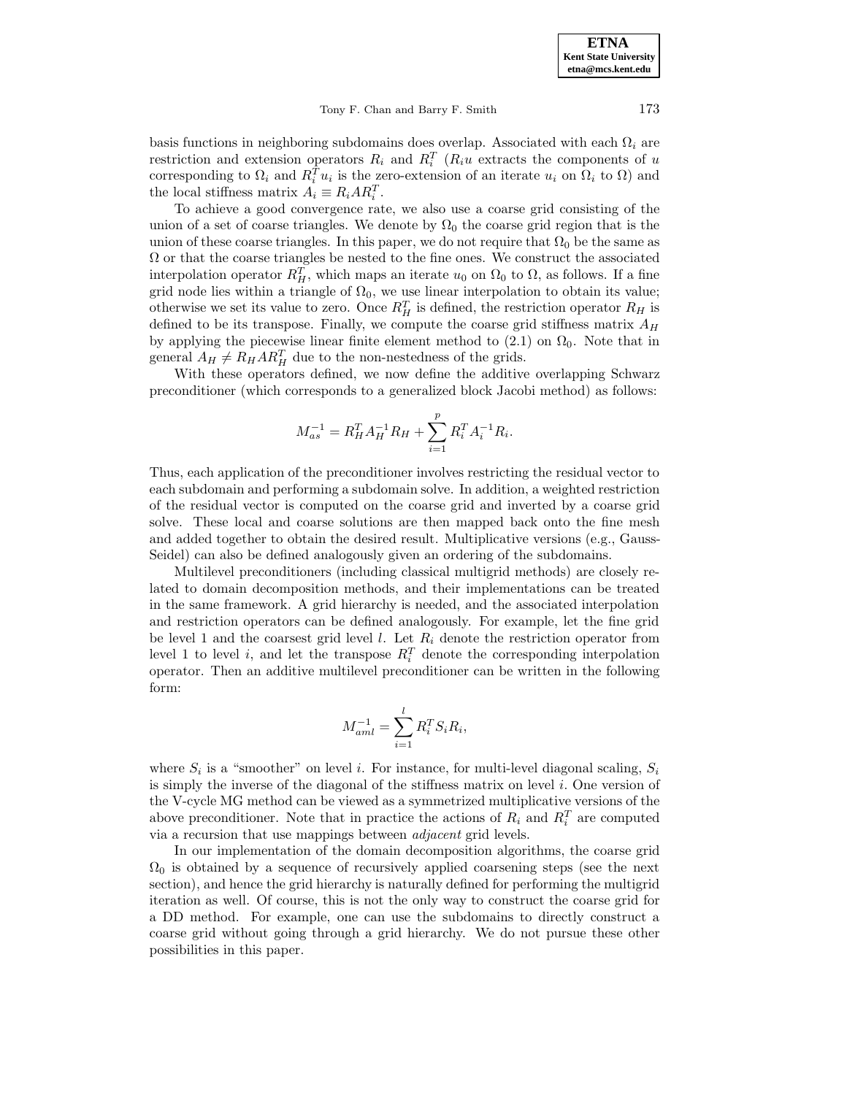**ETNA Kent State University etna@mcs.kent.edu**

Tony F. Chan and Barry F. Smith 173

basis functions in neighboring subdomains does overlap. Associated with each  $\Omega_i$  are restriction and extension operators  $R_i$  and  $R_i^T$  ( $R_i u$  extracts the components of u corresponding to  $\Omega_i$  and  $R_i^T u_i$  is the zero-extension of an iterate  $u_i$  on  $\Omega_i$  to  $\Omega$ ) and the local stiffness matrix  $A_i \equiv R_i A R_i^T$ .

To achieve a good convergence rate, we also use a coarse grid consisting of the union of a set of coarse triangles. We denote by  $\Omega_0$  the coarse grid region that is the union of these coarse triangles. In this paper, we do not require that  $\Omega_0$  be the same as  $\Omega$  or that the coarse triangles be nested to the fine ones. We construct the associated interpolation operator  $R_H^T$ , which maps an iterate  $u_0$  on  $\Omega_0$  to  $\Omega$ , as follows. If a fine grid node lies within a triangle of  $\Omega_0$ , we use linear interpolation to obtain its value; otherwise we set its value to zero. Once  $R_H^T$  is defined, the restriction operator  $R_H$  is defined to be its transpose. Finally, we compute the coarse grid stiffness matrix  $A_H$ by applying the piecewise linear finite element method to  $(2.1)$  on  $\Omega_0$ . Note that in general  $A_H \neq R_H A R_H^T$  due to the non-nestedness of the grids.

With these operators defined, we now define the additive overlapping Schwarz preconditioner (which corresponds to a generalized block Jacobi method) as follows:

$$
M_{as}^{-1} = R_H^T A_H^{-1} R_H + \sum_{i=1}^p R_i^T A_i^{-1} R_i.
$$

Thus, each application of the preconditioner involves restricting the residual vector to each subdomain and performing a subdomain solve. In addition, a weighted restriction of the residual vector is computed on the coarse grid and inverted by a coarse grid solve. These local and coarse solutions are then mapped back onto the fine mesh and added together to obtain the desired result. Multiplicative versions (e.g., Gauss-Seidel) can also be defined analogously given an ordering of the subdomains.

Multilevel preconditioners (including classical multigrid methods) are closely related to domain decomposition methods, and their implementations can be treated in the same framework. A grid hierarchy is needed, and the associated interpolation and restriction operators can be defined analogously. For example, let the fine grid be level 1 and the coarsest grid level *l*. Let  $R_i$  denote the restriction operator from level 1 to level *i*, and let the transpose  $R_i^T$  denote the corresponding interpolation operator. Then an additive multilevel preconditioner can be written in the following form:

$$
M_{aml}^{-1} = \sum_{i=1}^{l} R_i^T S_i R_i,
$$

where  $S_i$  is a "smoother" on level i. For instance, for multi-level diagonal scaling,  $S_i$ is simply the inverse of the diagonal of the stiffness matrix on level  $i$ . One version of the V-cycle MG method can be viewed as a symmetrized multiplicative versions of the above preconditioner. Note that in practice the actions of  $R_i$  and  $R_i^T$  are computed via a recursion that use mappings between adjacent grid levels.

In our implementation of the domain decomposition algorithms, the coarse grid  $\Omega_0$  is obtained by a sequence of recursively applied coarsening steps (see the next section), and hence the grid hierarchy is naturally defined for performing the multigrid iteration as well. Of course, this is not the only way to construct the coarse grid for a DD method. For example, one can use the subdomains to directly construct a coarse grid without going through a grid hierarchy. We do not pursue these other possibilities in this paper.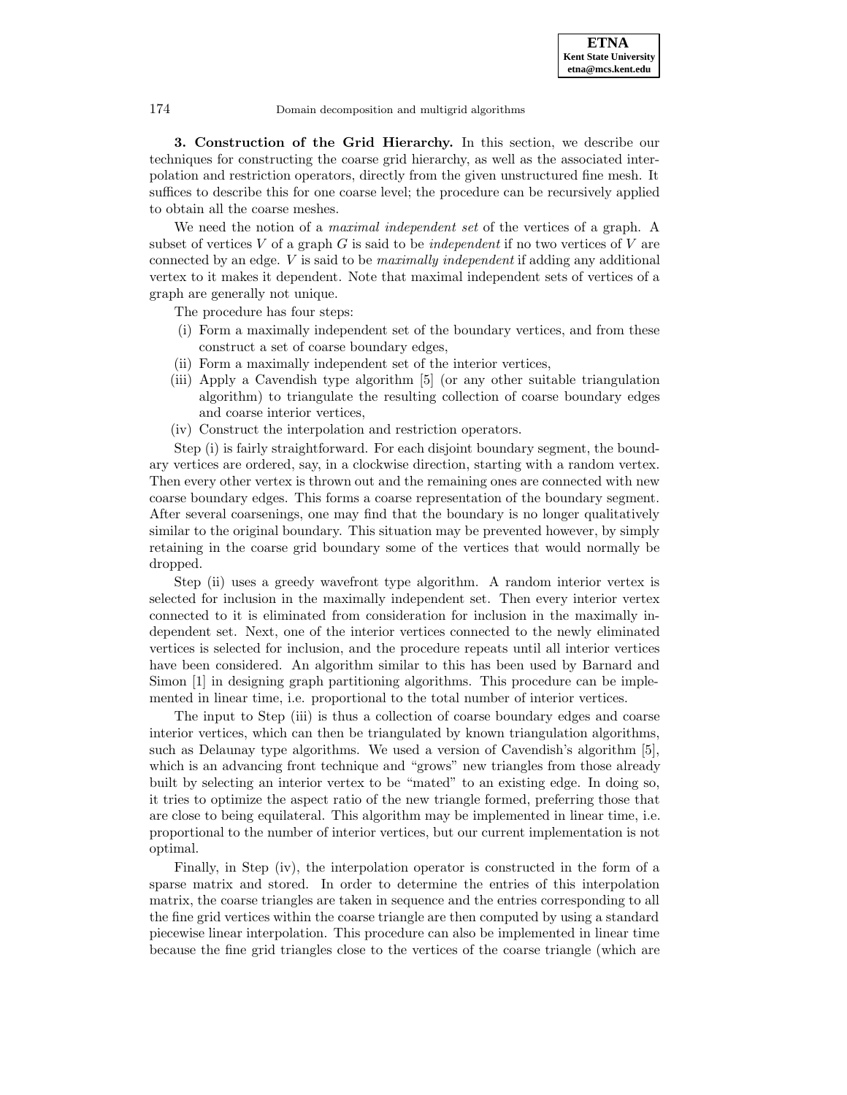**3. Construction of the Grid Hierarchy.** In this section, we describe our techniques for constructing the coarse grid hierarchy, as well as the associated interpolation and restriction operators, directly from the given unstructured fine mesh. It suffices to describe this for one coarse level; the procedure can be recursively applied to obtain all the coarse meshes.

We need the notion of a *maximal independent set* of the vertices of a graph. A subset of vertices V of a graph  $G$  is said to be *independent* if no two vertices of V are connected by an edge. V is said to be maximally independent if adding any additional vertex to it makes it dependent. Note that maximal independent sets of vertices of a graph are generally not unique.

The procedure has four steps:

- (i) Form a maximally independent set of the boundary vertices, and from these construct a set of coarse boundary edges,
- (ii) Form a maximally independent set of the interior vertices,
- (iii) Apply a Cavendish type algorithm [5] (or any other suitable triangulation algorithm) to triangulate the resulting collection of coarse boundary edges and coarse interior vertices,
- (iv) Construct the interpolation and restriction operators.

Step (i) is fairly straightforward. For each disjoint boundary segment, the boundary vertices are ordered, say, in a clockwise direction, starting with a random vertex. Then every other vertex is thrown out and the remaining ones are connected with new coarse boundary edges. This forms a coarse representation of the boundary segment. After several coarsenings, one may find that the boundary is no longer qualitatively similar to the original boundary. This situation may be prevented however, by simply retaining in the coarse grid boundary some of the vertices that would normally be dropped.

Step (ii) uses a greedy wavefront type algorithm. A random interior vertex is selected for inclusion in the maximally independent set. Then every interior vertex connected to it is eliminated from consideration for inclusion in the maximally independent set. Next, one of the interior vertices connected to the newly eliminated vertices is selected for inclusion, and the procedure repeats until all interior vertices have been considered. An algorithm similar to this has been used by Barnard and Simon [1] in designing graph partitioning algorithms. This procedure can be implemented in linear time, i.e. proportional to the total number of interior vertices.

The input to Step (iii) is thus a collection of coarse boundary edges and coarse interior vertices, which can then be triangulated by known triangulation algorithms, such as Delaunay type algorithms. We used a version of Cavendish's algorithm [5], which is an advancing front technique and "grows" new triangles from those already built by selecting an interior vertex to be "mated" to an existing edge. In doing so, it tries to optimize the aspect ratio of the new triangle formed, preferring those that are close to being equilateral. This algorithm may be implemented in linear time, i.e. proportional to the number of interior vertices, but our current implementation is not optimal.

Finally, in Step (iv), the interpolation operator is constructed in the form of a sparse matrix and stored. In order to determine the entries of this interpolation matrix, the coarse triangles are taken in sequence and the entries corresponding to all the fine grid vertices within the coarse triangle are then computed by using a standard piecewise linear interpolation. This procedure can also be implemented in linear time because the fine grid triangles close to the vertices of the coarse triangle (which are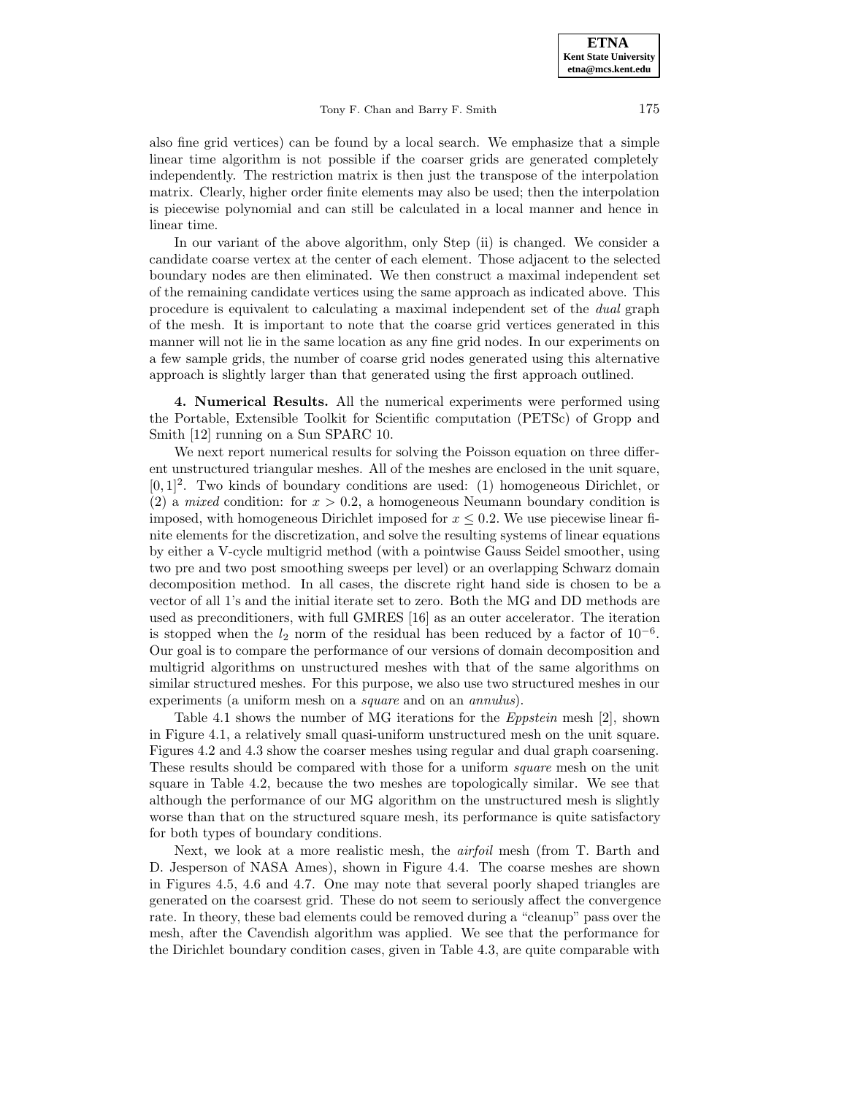#### Tony F. Chan and Barry F. Smith 175

also fine grid vertices) can be found by a local search. We emphasize that a simple linear time algorithm is not possible if the coarser grids are generated completely independently. The restriction matrix is then just the transpose of the interpolation matrix. Clearly, higher order finite elements may also be used; then the interpolation is piecewise polynomial and can still be calculated in a local manner and hence in linear time.

In our variant of the above algorithm, only Step (ii) is changed. We consider a candidate coarse vertex at the center of each element. Those adjacent to the selected boundary nodes are then eliminated. We then construct a maximal independent set of the remaining candidate vertices using the same approach as indicated above. This procedure is equivalent to calculating a maximal independent set of the dual graph of the mesh. It is important to note that the coarse grid vertices generated in this manner will not lie in the same location as any fine grid nodes. In our experiments on a few sample grids, the number of coarse grid nodes generated using this alternative approach is slightly larger than that generated using the first approach outlined.

**4. Numerical Results.** All the numerical experiments were performed using the Portable, Extensible Toolkit for Scientific computation (PETSc) of Gropp and Smith [12] running on a Sun SPARC 10.

We next report numerical results for solving the Poisson equation on three different unstructured triangular meshes. All of the meshes are enclosed in the unit square,  $[0, 1]^2$ . Two kinds of boundary conditions are used: (1) homogeneous Dirichlet, or (2) a *mixed* condition: for  $x > 0.2$ , a homogeneous Neumann boundary condition is imposed, with homogeneous Dirichlet imposed for  $x \leq 0.2$ . We use piecewise linear finite elements for the discretization, and solve the resulting systems of linear equations by either a V-cycle multigrid method (with a pointwise Gauss Seidel smoother, using two pre and two post smoothing sweeps per level) or an overlapping Schwarz domain decomposition method. In all cases, the discrete right hand side is chosen to be a vector of all 1's and the initial iterate set to zero. Both the MG and DD methods are used as preconditioners, with full GMRES [16] as an outer accelerator. The iteration is stopped when the  $l_2$  norm of the residual has been reduced by a factor of  $10^{-6}$ . Our goal is to compare the performance of our versions of domain decomposition and multigrid algorithms on unstructured meshes with that of the same algorithms on similar structured meshes. For this purpose, we also use two structured meshes in our experiments (a uniform mesh on a *square* and on an *annulus*).

Table 4.1 shows the number of MG iterations for the Eppstein mesh [2], shown in Figure 4.1, a relatively small quasi-uniform unstructured mesh on the unit square. Figures 4.2 and 4.3 show the coarser meshes using regular and dual graph coarsening. These results should be compared with those for a uniform square mesh on the unit square in Table 4.2, because the two meshes are topologically similar. We see that although the performance of our MG algorithm on the unstructured mesh is slightly worse than that on the structured square mesh, its performance is quite satisfactory for both types of boundary conditions.

Next, we look at a more realistic mesh, the *airfoil* mesh (from T. Barth and D. Jesperson of NASA Ames), shown in Figure 4.4. The coarse meshes are shown in Figures 4.5, 4.6 and 4.7. One may note that several poorly shaped triangles are generated on the coarsest grid. These do not seem to seriously affect the convergence rate. In theory, these bad elements could be removed during a "cleanup" pass over the mesh, after the Cavendish algorithm was applied. We see that the performance for the Dirichlet boundary condition cases, given in Table 4.3, are quite comparable with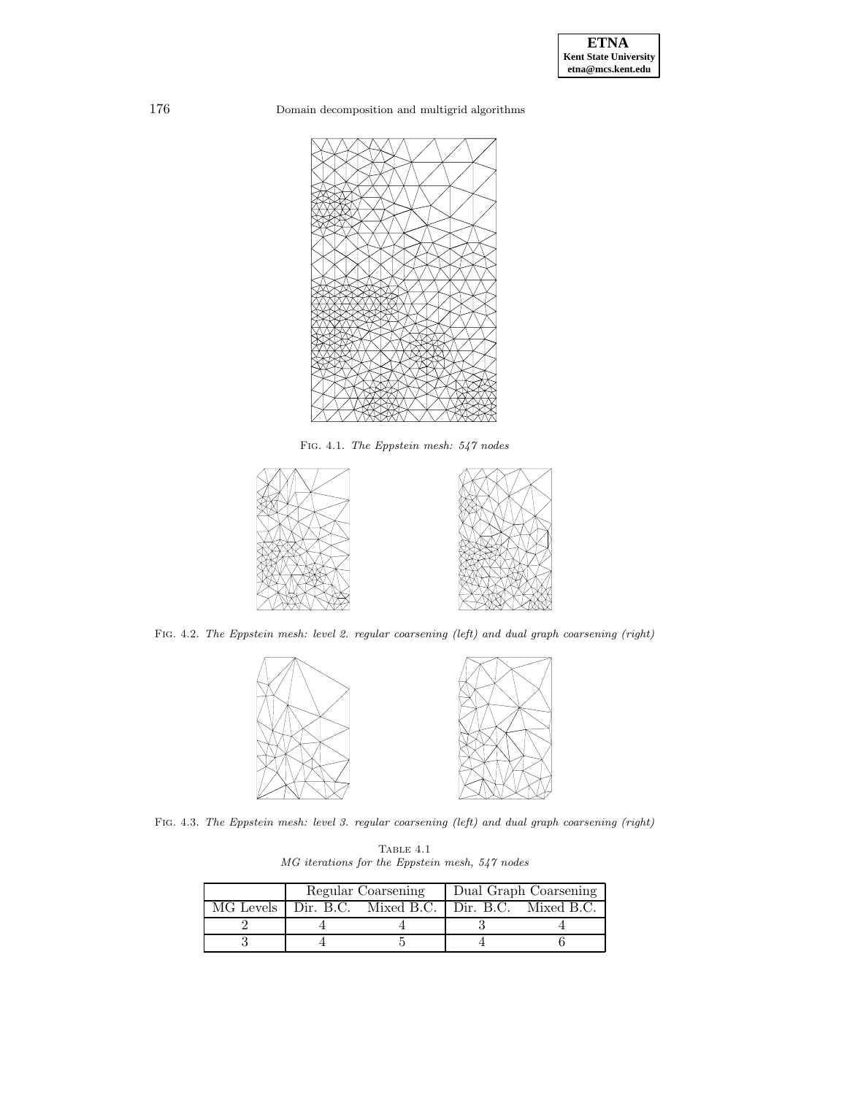

Fig. 4.1. The Eppstein mesh: 547 nodes



Fig. 4.2. The Eppstein mesh: level 2. regular coarsening (left) and dual graph coarsening (right)



Fig. 4.3. The Eppstein mesh: level 3. regular coarsening (left) and dual graph coarsening (right)

|                                                | TABLE 4.1 |  |  |
|------------------------------------------------|-----------|--|--|
| MG iterations for the Eppstein mesh, 547 nodes |           |  |  |

|  | Regular Coarsening                                      | Dual Graph Coarsening |
|--|---------------------------------------------------------|-----------------------|
|  | MG Levels   Dir. B.C. Mixed B.C.   Dir. B.C. Mixed B.C. |                       |
|  |                                                         |                       |
|  |                                                         |                       |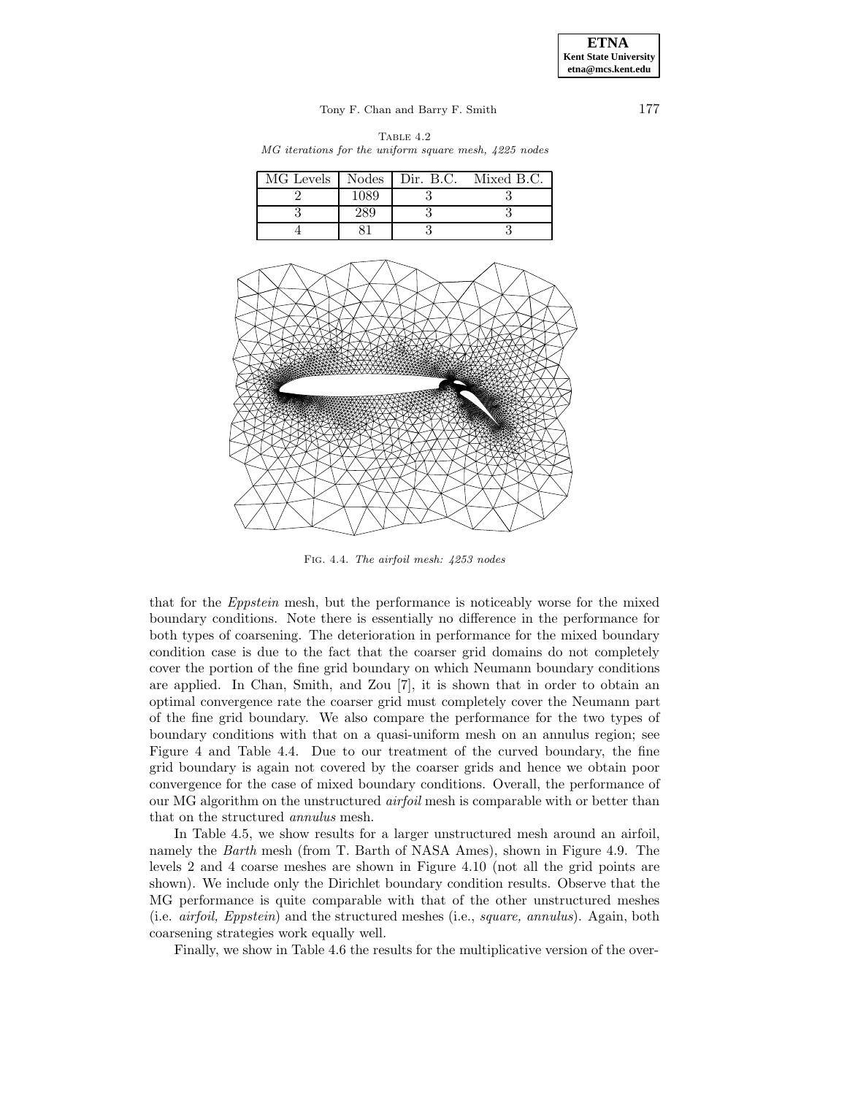### Tony F. Chan and Barry F. Smith 177

| TABLE 4.2 |                                                       |  |  |  |  |  |  |  |
|-----------|-------------------------------------------------------|--|--|--|--|--|--|--|
|           | MG iterations for the uniform square mesh, 4225 nodes |  |  |  |  |  |  |  |

|      | MG Levels   Nodes   Dir. B.C. Mixed B.C. |
|------|------------------------------------------|
| 1089 |                                          |
|      |                                          |
|      |                                          |



Fig. 4.4. The airfoil mesh: 4253 nodes

that for the Eppstein mesh, but the performance is noticeably worse for the mixed boundary conditions. Note there is essentially no difference in the performance for both types of coarsening. The deterioration in performance for the mixed boundary condition case is due to the fact that the coarser grid domains do not completely cover the portion of the fine grid boundary on which Neumann boundary conditions are applied. In Chan, Smith, and Zou [7], it is shown that in order to obtain an optimal convergence rate the coarser grid must completely cover the Neumann part of the fine grid boundary. We also compare the performance for the two types of boundary conditions with that on a quasi-uniform mesh on an annulus region; see Figure 4 and Table 4.4. Due to our treatment of the curved boundary, the fine grid boundary is again not covered by the coarser grids and hence we obtain poor convergence for the case of mixed boundary conditions. Overall, the performance of our MG algorithm on the unstructured *airfoil* mesh is comparable with or better than that on the structured annulus mesh.

In Table 4.5, we show results for a larger unstructured mesh around an airfoil, namely the Barth mesh (from T. Barth of NASA Ames), shown in Figure 4.9. The levels 2 and 4 coarse meshes are shown in Figure 4.10 (not all the grid points are shown). We include only the Dirichlet boundary condition results. Observe that the MG performance is quite comparable with that of the other unstructured meshes (i.e. airfoil, Eppstein) and the structured meshes (i.e., square, annulus). Again, both coarsening strategies work equally well.

Finally, we show in Table 4.6 the results for the multiplicative version of the over-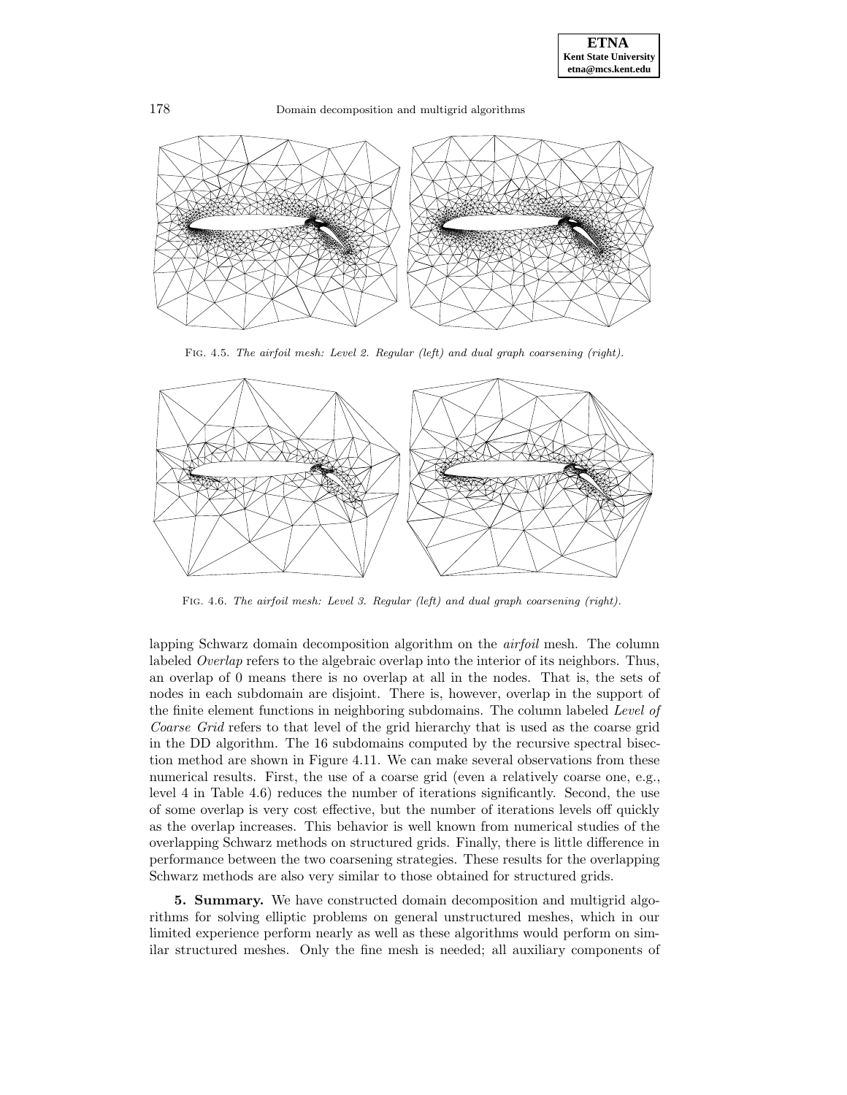



Fig. 4.5. The airfoil mesh: Level 2. Regular (left) and dual graph coarsening (right).



Fig. 4.6. The airfoil mesh: Level 3. Regular (left) and dual graph coarsening (right).

lapping Schwarz domain decomposition algorithm on the *airfoil* mesh. The column labeled *Overlap* refers to the algebraic overlap into the interior of its neighbors. Thus, an overlap of 0 means there is no overlap at all in the nodes. That is, the sets of nodes in each subdomain are disjoint. There is, however, overlap in the support of the finite element functions in neighboring subdomains. The column labeled Level of Coarse Grid refers to that level of the grid hierarchy that is used as the coarse grid in the DD algorithm. The 16 subdomains computed by the recursive spectral bisection method are shown in Figure 4.11. We can make several observations from these numerical results. First, the use of a coarse grid (even a relatively coarse one, e.g., level 4 in Table 4.6) reduces the number of iterations significantly. Second, the use of some overlap is very cost effective, but the number of iterations levels off quickly as the overlap increases. This behavior is well known from numerical studies of the overlapping Schwarz methods on structured grids. Finally, there is little difference in performance between the two coarsening strategies. These results for the overlapping Schwarz methods are also very similar to those obtained for structured grids.

**5. Summary.** We have constructed domain decomposition and multigrid algorithms for solving elliptic problems on general unstructured meshes, which in our limited experience perform nearly as well as these algorithms would perform on similar structured meshes. Only the fine mesh is needed; all auxiliary components of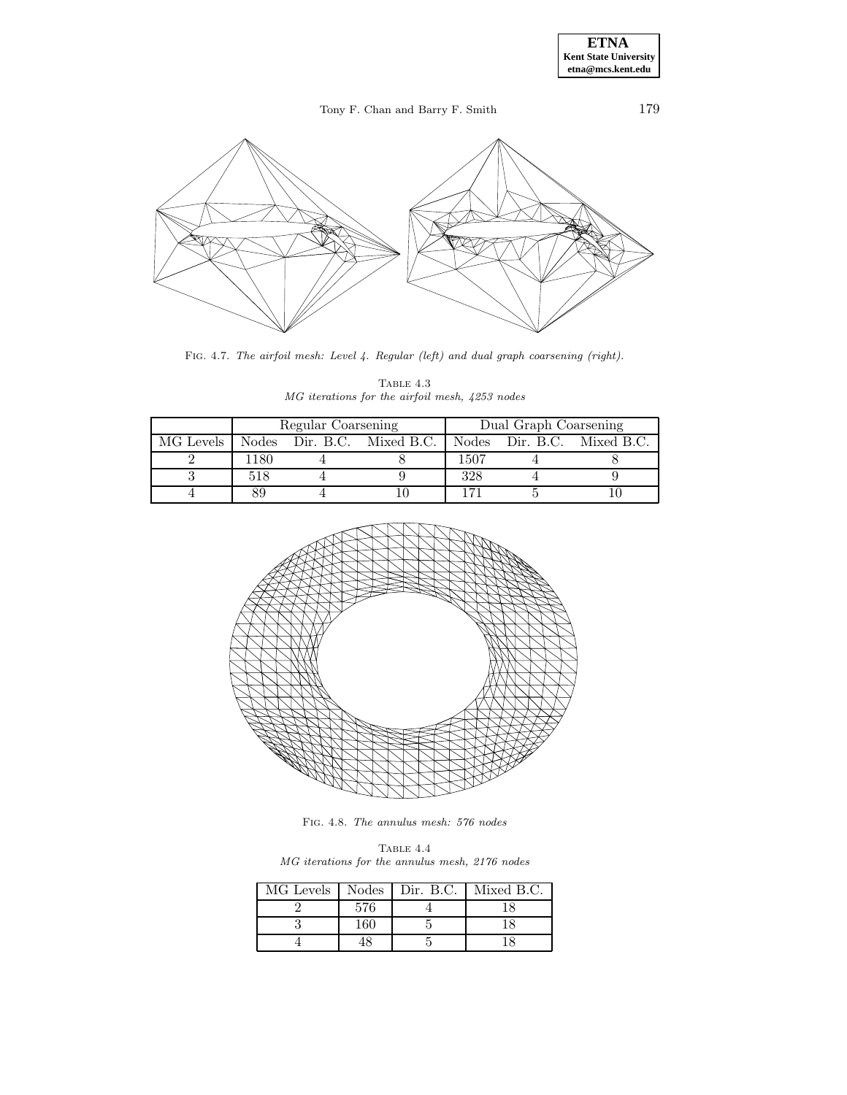**ETNA Kent State University etna@mcs.kent.edu**

# Tony F. Chan and Barry F. Smith 179



Fig. 4.7. The airfoil mesh: Level 4. Regular (left) and dual graph coarsening (right).

|                                                |  | TABLE 4.3 |  |  |
|------------------------------------------------|--|-----------|--|--|
| MG iterations for the airfoil mesh, 4253 nodes |  |           |  |  |

|           |      | Regular Coarsening |                            | Dual Graph Coarsening |  |                            |
|-----------|------|--------------------|----------------------------|-----------------------|--|----------------------------|
| MG Levels |      |                    | Nodes Dir. B.C. Mixed B.C. |                       |  | Nodes Dir. B.C. Mixed B.C. |
|           | 1180 |                    |                            | 1507                  |  |                            |
|           | 518  |                    |                            | 328                   |  |                            |
|           |      |                    |                            |                       |  |                            |



Fig. 4.8. The annulus mesh: 576 nodes

TABLE  $4.4\,$  $MG\ iterations\ for\ the\ annulus\ mesh,\ 2176\ nodes$ 

| MG Levels   Nodes   Dir. B.C. |     | Mixed B.C. |
|-------------------------------|-----|------------|
|                               | 576 |            |
|                               | 160 |            |
|                               |     |            |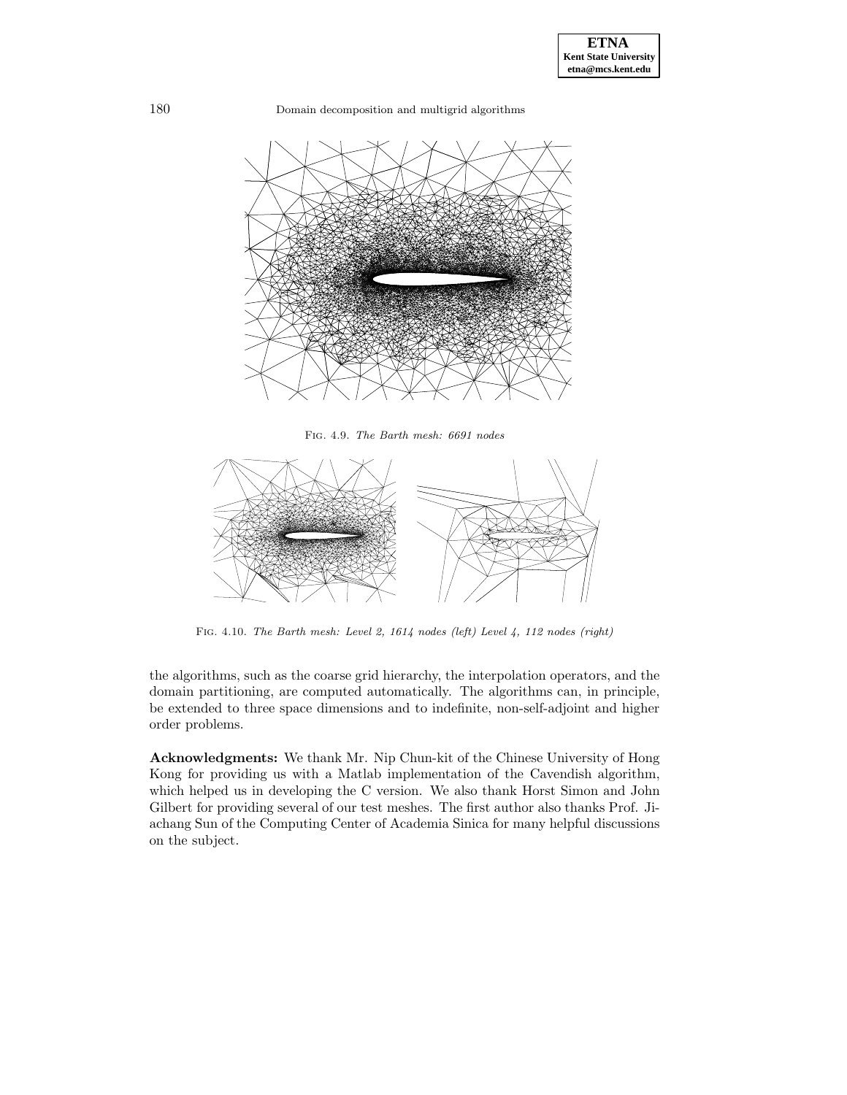

Fig. 4.9. The Barth mesh: 6691 nodes



Fig. 4.10. The Barth mesh: Level 2, 1614 nodes (left) Level 4, 112 nodes (right)

the algorithms, such as the coarse grid hierarchy, the interpolation operators, and the domain partitioning, are computed automatically. The algorithms can, in principle, be extended to three space dimensions and to indefinite, non-self-adjoint and higher order problems.

**Acknowledgments:** We thank Mr. Nip Chun-kit of the Chinese University of Hong Kong for providing us with a Matlab implementation of the Cavendish algorithm, which helped us in developing the C version. We also thank Horst Simon and John Gilbert for providing several of our test meshes. The first author also thanks Prof. Jiachang Sun of the Computing Center of Academia Sinica for many helpful discussions on the subject.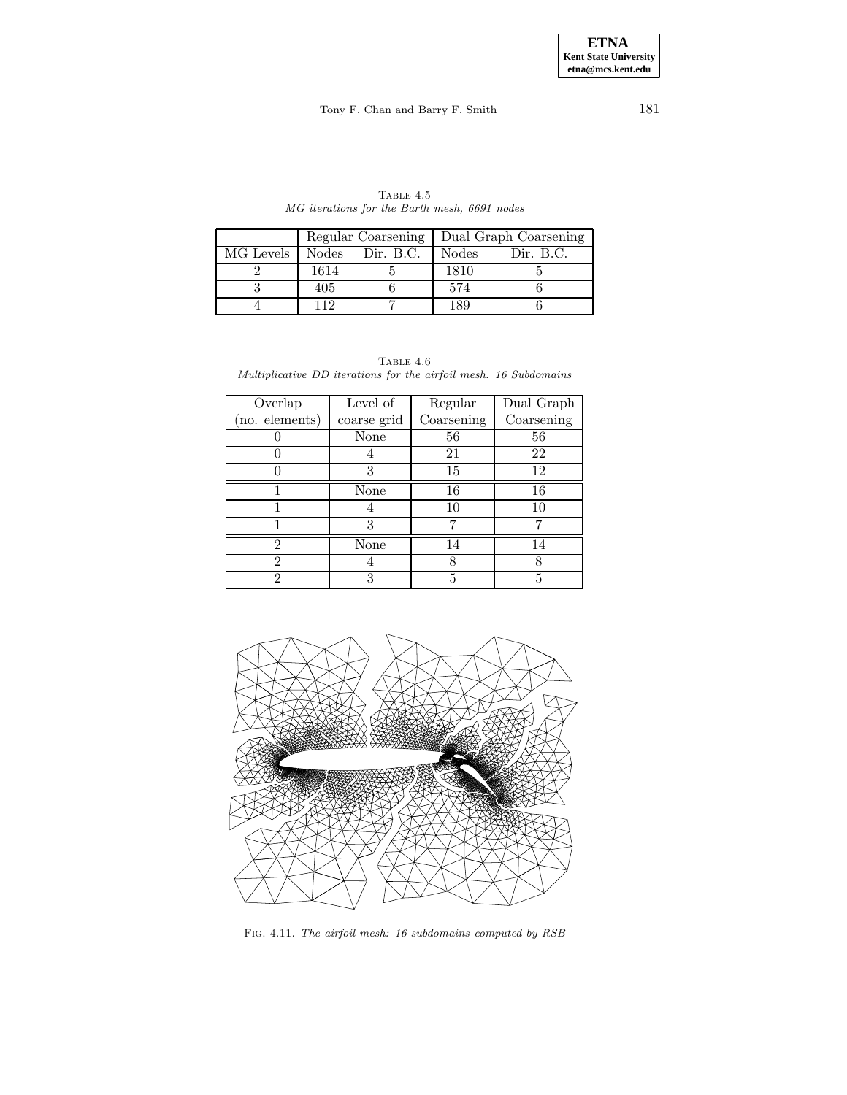# Tony F. Chan and Barry F. Smith 181

| TABLE 4.5                                    |  |  |
|----------------------------------------------|--|--|
| MG iterations for the Barth mesh, 6691 nodes |  |  |

|           |       | Regular Coarsening | Dual Graph Coarsening |           |  |
|-----------|-------|--------------------|-----------------------|-----------|--|
| MG Levels | Nodes | Dir. B.C.          | Nodes                 | Dir. B.C. |  |
|           | 1614  |                    | 1810                  |           |  |
|           | 405   |                    | 574                   |           |  |
|           | 119   |                    | 189                   |           |  |

TABLE  $4.6\,$ Multiplicative DD iterations for the airfoil mesh. 16 Subdomains

| Overlap        | Level of    | Regular    | Dual Graph |
|----------------|-------------|------------|------------|
| (no. elements) | coarse grid | Coarsening | Coarsening |
|                | None        | 56         | 56         |
|                |             | 21         | 22         |
|                | 3           | 15         | 12         |
|                | None        | 16         | 16         |
|                |             | 10         | 10         |
|                | 3           |            |            |
| 2              | None        | 14         | 14         |
| $\overline{2}$ |             | 8          | 8          |
| 2              | 3           | 5          | 5          |



Fig. 4.11. The airfoil mesh: 16 subdomains computed by RSB